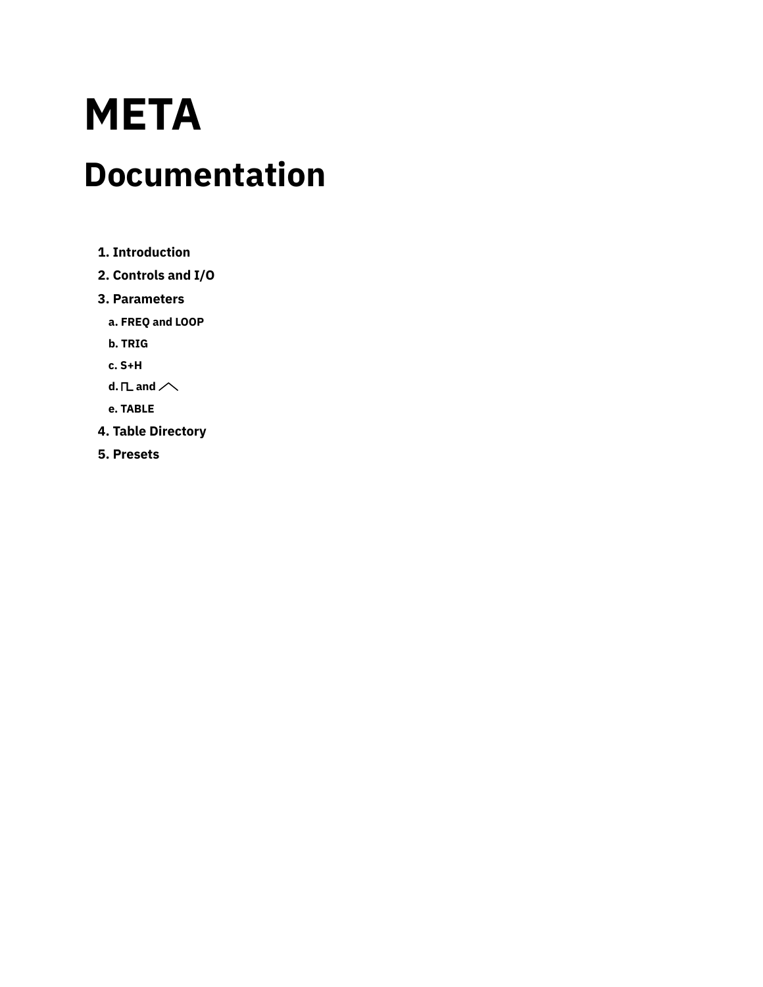# **META Documentation**

- **1. [Introduction](#page-1-0)**
- **2. [Controls](#page-2-0) and I/O**
- **3. [Parameters](#page-5-0)**
	- **a. [FREQ](#page-5-1) and LOOP**
	- **b. [TRIG](#page-6-0)**
	- **c. [S+H](#page-8-0)**
	- **d.**  $nL$  [and](#page-11-1)  $\sim$
	- **e. [TABLE](#page-11-0)**
- **4. Table [Directory](#page-12-0)**
- **5. [Presets](#page-14-0)**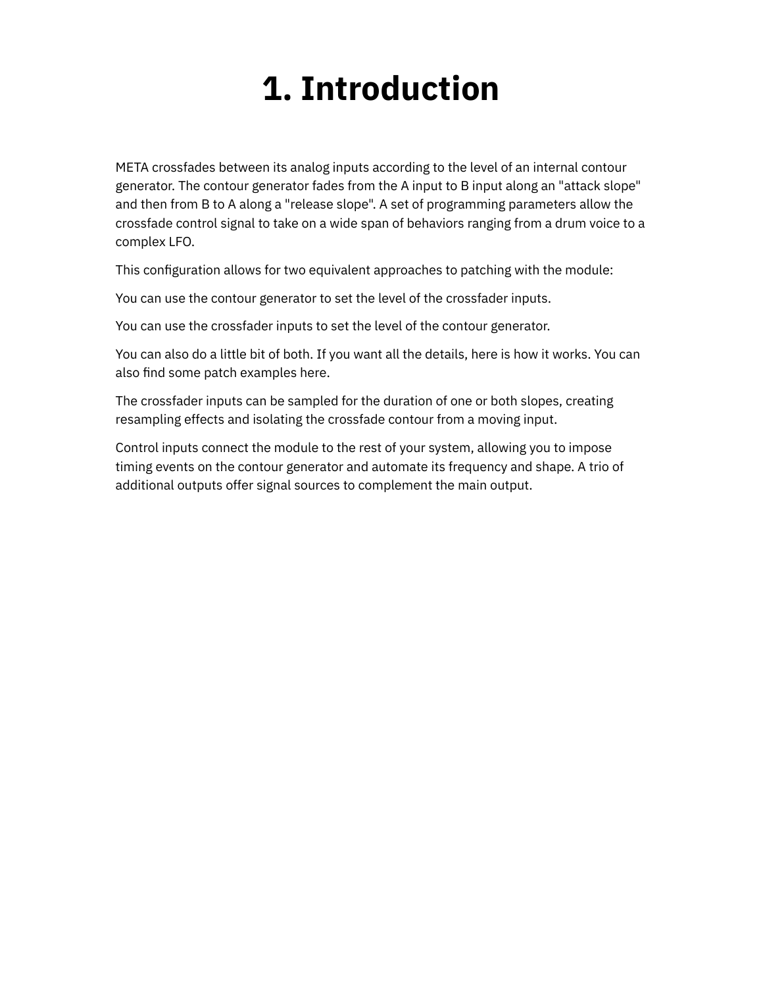## **1. Introduction**

<span id="page-1-0"></span>META crossfades between its analog inputs according to the level of an internal contour generator. The contour generator fades from the A input to B input along an "attack slope" and then from B to A along a "release slope". A set of programming parameters allow the crossfade control signal to take on a wide span of behaviors ranging from a drum voice to a complex LFO.

This configuration allows for two equivalent approaches to patching with the module:

You can use the contour generator to set the level of the crossfader inputs.

You can use the crossfader inputs to set the level of the contour generator.

You can also do a little bit of both. If you want all the details, here is how it [works.](https://starling.space/via/platform-info#crossfader) You can also find some patch examples [here](https://starling.space/via/meta/patch-examples).

The crossfader inputs can be sampled for the duration of one or both slopes, creating resampling effects and isolating the crossfade contour from a moving input.

Control inputs connect the module to the rest of your system, allowing you to impose timing events on the contour generator and automate its frequency and shape. A trio of additional outputs offer signal sources to complement the main output.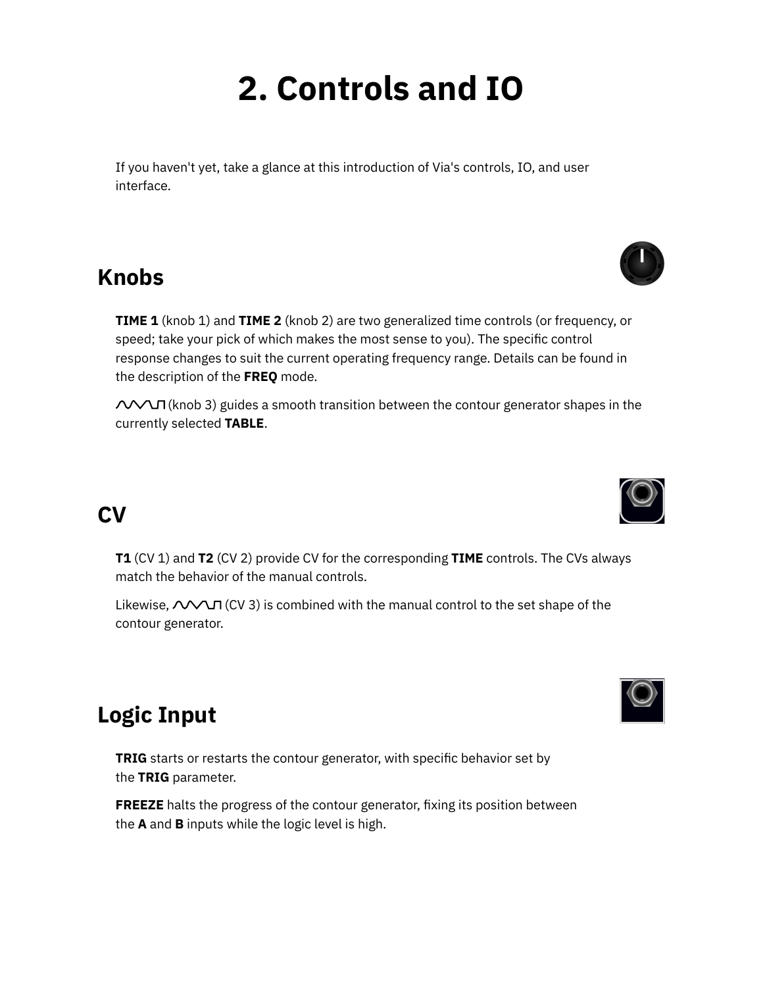## **2. Controls and IO**

<span id="page-2-0"></span>If you haven't yet, take a glance at this [introduction](https://starling.space/via/platform-info#controls-io) of Via's controls, IO, and user interface.

### **Knobs**

**TIME 1** (knob 1) and **TIME 2** (knob 2) are two generalized time controls (or frequency, or speed; take your pick of which makes the most sense to you). The specific control response changes to suit the current operating frequency range. Details can be found in the description of the **[FREQ](https://starling.space/via/meta/documentation#freq-loop)** mode.

(knob 3) guides a smooth transition between the contour generator shapes in the currently selected **[TABLE](https://starling.space/via/meta/documentation#table)**.

## **CV**

**T1** (CV 1) and **T2** (CV 2) provide CV for the corresponding **TIME** controls. The CVs always match the behavior of the manual controls.

Likewise,  $\triangle$  $\triangle$  $\Pi$  (CV 3) is combined with the manual control to the set shape of the contour generator.

## **Logic Input**

**TRIG** starts or restarts the contour generator, with specific behavior set by the **[TRIG](https://starling.space/via/meta/documentation#trig)** parameter.

**FREEZE** halts the progress of the contour generator, fixing its position between the **A** and **B** inputs while the logic level is high.





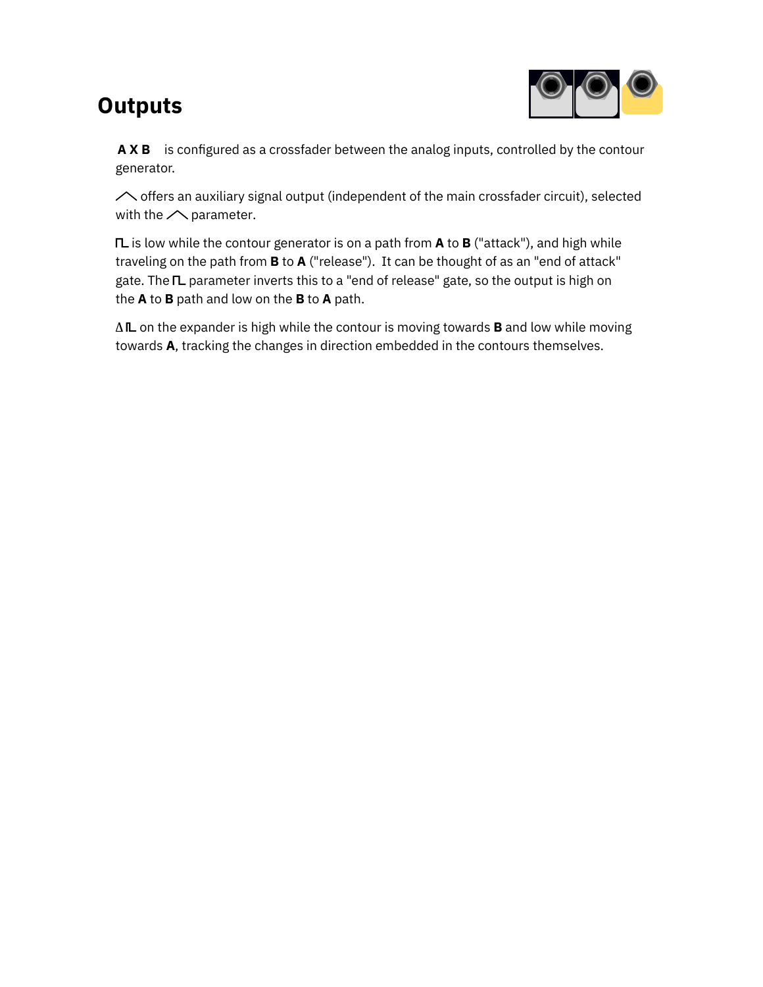## <span id="page-3-0"></span>**Outputs**



**A X B** is configured as a crossfader between the analog inputs, controlled by the contour generator.

 $\sim$  offers an auxiliary signal output (independent of the main crossfader circuit), selected with the  $\triangle$  [parameter.](https://starling.space/via/meta/documentation#aux-outs)

**IL** is low while the contour generator is on a path from **A** to **B** ("attack"), and high while traveling on the path from **B** to **A** ("release"). It can be thought of as an "end of attack" gate. The IL [parameter](https://starling.space/via/meta/documentation#aux-outs) inverts this to a "end of release" gate, so the output is high on the **A** to **B** path and low on the **B** to **A** path.

 $\Delta$ **IL** on the expander is high while the contour is moving towards **B** and low while moving towards **A**, tracking the changes in direction embedded in the contours themselves.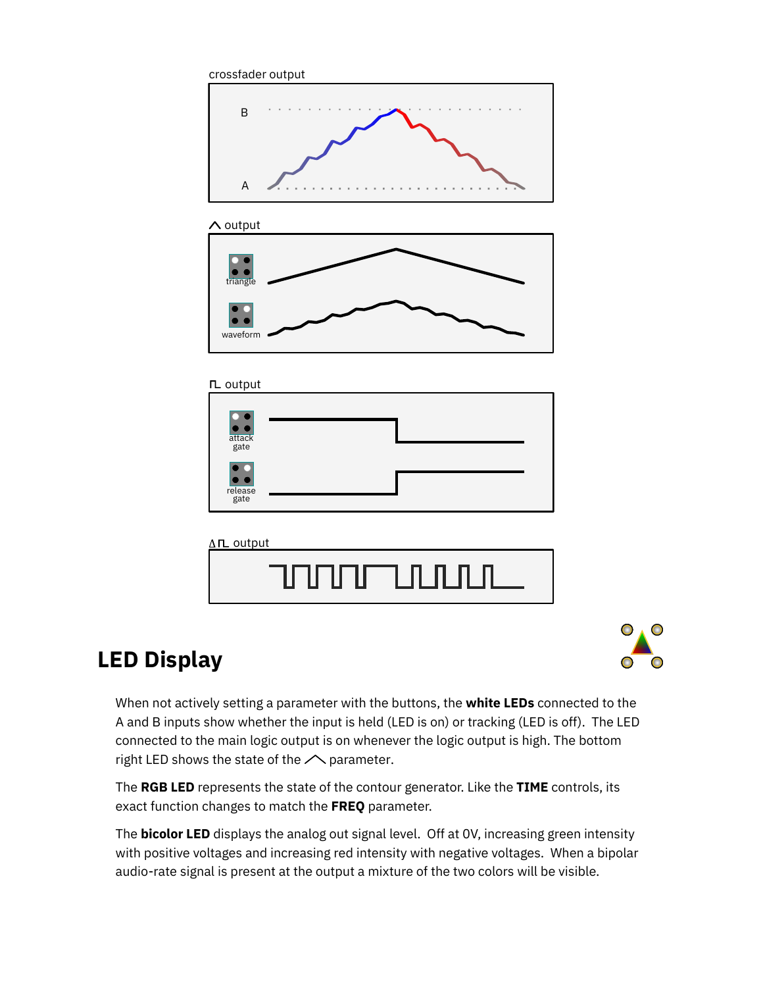

#### $\Lambda$  output



#### $\Pi$  output





## **LED Display**



When not actively setting a parameter with the buttons, the **white LEDs** connected to the A and B inputs show whether the input is held (LED is on) or tracking (LED is off). The LED connected to the main logic output is on whenever the logic output is high. The bottom right LED shows the state of the  $\triangle$  [parameter.](#page-11-1)

The **RGB LED** represents the state of the contour generator. Like the **TIME** controls, its exact function changes to match the **FREQ** parameter.

The **bicolor LED** displays the analog out signal level. Off at 0V, increasing green intensity with positive voltages and increasing red intensity with negative voltages. When a bipolar audio-rate signal is present at the output a mixture of the two colors will be visible.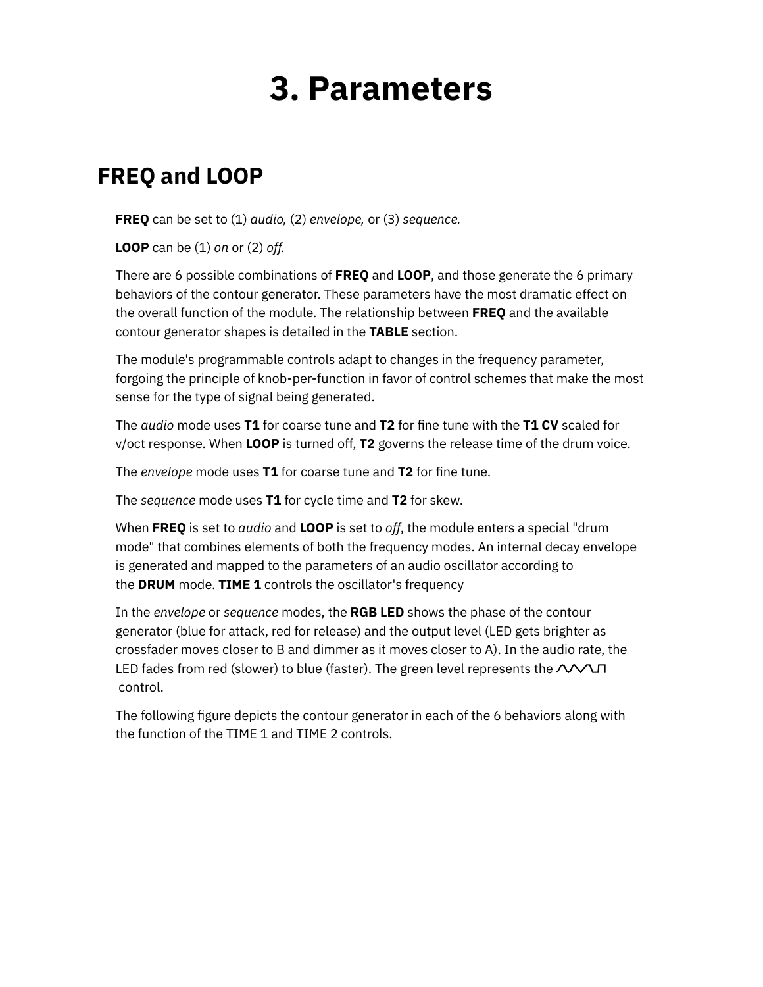## **3. Parameters**

## <span id="page-5-1"></span><span id="page-5-0"></span>**FREQ and LOOP**

**FREQ** can be set to (1) *audio,* (2) *envelope,* or (3) *sequence.*

**LOOP** can be (1) *on* or (2) *off.*

There are 6 possible combinations of **FREQ** and **LOOP**, and those generate the 6 primary behaviors of the contour generator. These parameters have the most dramatic effect on the overall function of the module. The relationship between **FREQ** and the available contour generator shapes is detailed in the **[TABLE](https://starling.space/via/meta/documentation#table)** section.

The module's programmable controls adapt to changes in the frequency parameter, forgoing the principle of knob-per-function in favor of control schemes that make the most sense for the type of signal being generated.

The *audio* mode uses **T1** for coarse tune and **T2** for fine tune with the **T1 CV** scaled for v/oct response. When **LOOP** is turned off, **T2** governs the release time of the drum voice.

The *envelope* mode uses T1 for coarse tune and T2 for fine tune.

The *sequence* mode uses **T1** for cycle time and **T2** for skew.

When **FREQ** is set to *audio* and **LOOP** is set to *off*, the module enters a special "drum mode" that combines elements of both the frequency modes. An internal decay envelope is generated and mapped to the parameters of an audio oscillator according to the **DRUM** mode. **TIME 1** controls the oscillator's frequency

In the *envelope* or *sequence* modes, the **RGB LED** shows the phase of the contour generator (blue for attack, red for release) and the output level (LED gets brighter as crossfader moves closer to B and dimmer as it moves closer to A). In the audio rate, the LED fades from red (slower) to blue (faster). The green level represents the  $\mathcal{N}$  $\mathcal{N}$  $\mathcal{N}$ control.

The following figure depicts the contour generator in each of the 6 behaviors along with the function of the [TIME](https://starling.space/via/meta/documentation#t1-t2) 1 and TIME 2 controls.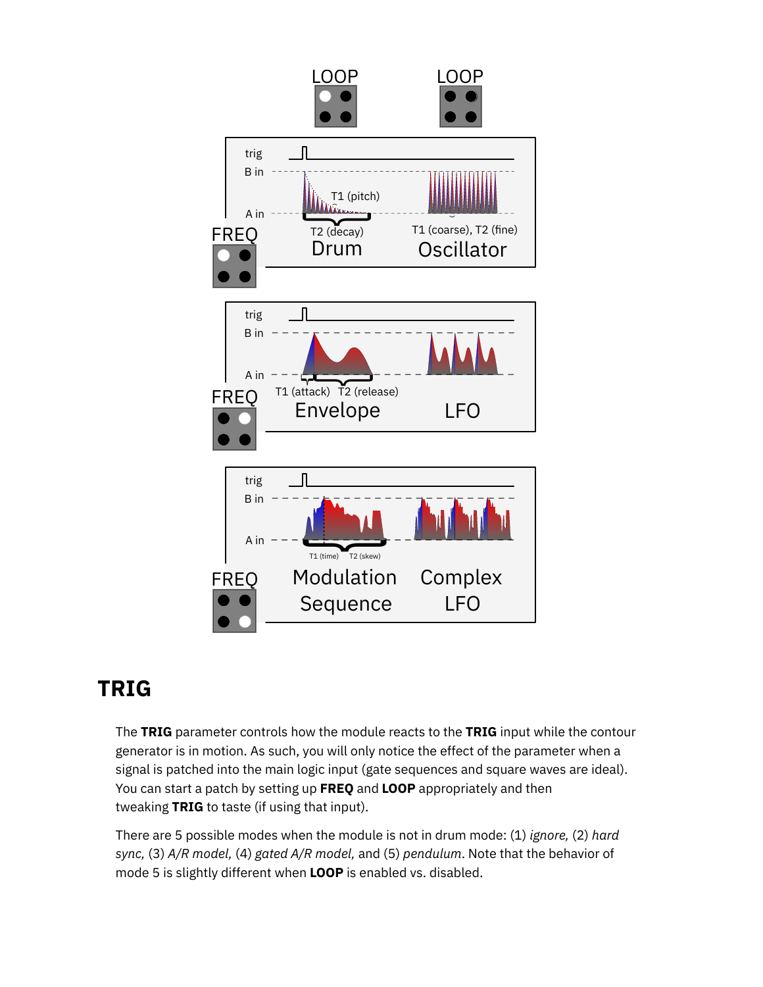

## <span id="page-6-0"></span>**TRIG**

The **TRIG** parameter controls how the module reacts to the **TRIG** [input](https://starling.space/via/meta/documentation#logic-inputs) while the contour generator is in motion. As such, you will only notice the effect of the parameter when a signal is patched into the main logic input (gate sequences and square waves are ideal). You can start a patch by setting up **FREQ** and **LOOP** appropriately and then tweaking **TRIG** to taste (if using that input).

There are 5 possible modes when the module is not in drum mode: (1) *ignore,* (2) *hard sync,* (3) *A/R model,* (4) *gated A/R model,* and (5) *pendulum*. Note that the behavior of mode 5 is slightly different when **LOOP** is enabled vs. disabled.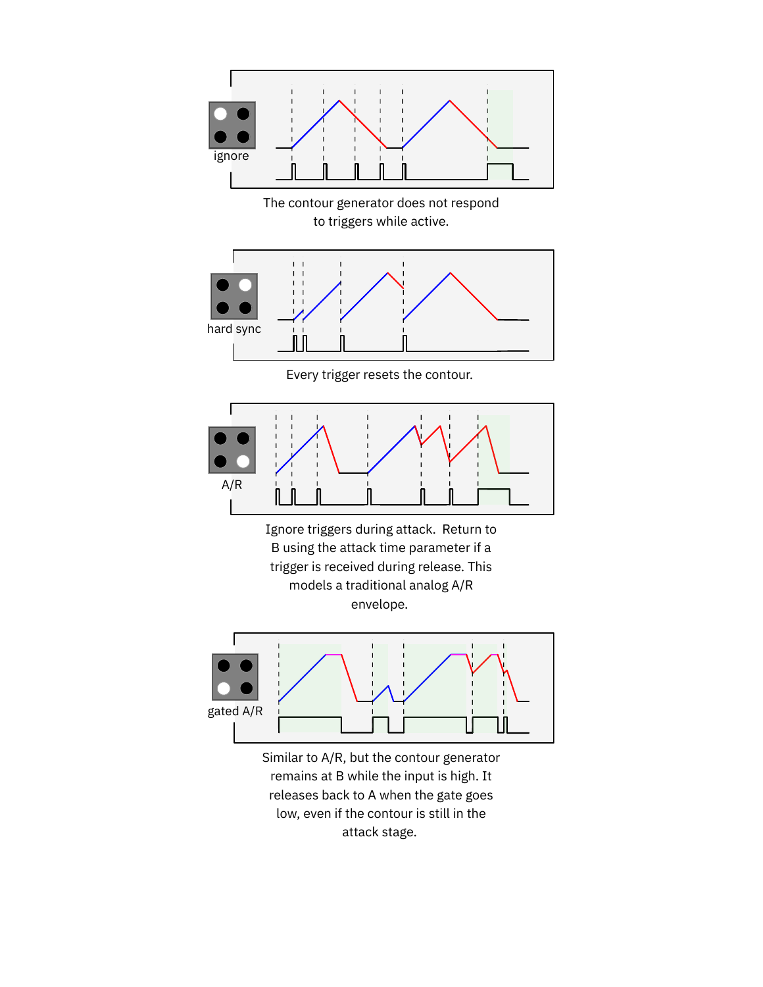

remains at B while the input is high. It releases back to A when the gate goes low, even if the contour is still in the attack stage.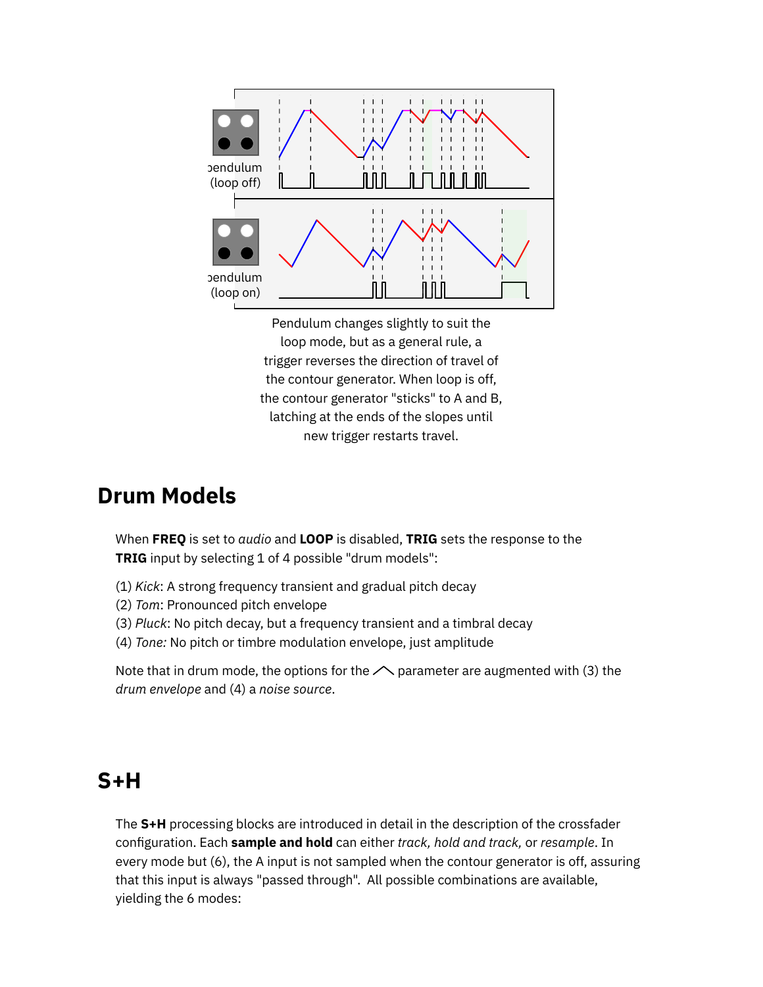

Pendulum changes slightly to suit the loop mode, but as a general rule, a trigger reverses the direction of travel of the contour generator. When loop is off, the contour generator "sticks" to A and B, latching at the ends of the slopes until new trigger restarts travel.

### **Drum Models**

When **FREQ** is set to *audio* and **LOOP** is disabled, **TRIG** sets the response to the **TRIG** input by selecting 1 of 4 possible "drum models":

- (1) *Kick*: A strong frequency transient and gradual pitch decay
- (2) *Tom*: Pronounced pitch envelope
- (3) *Pluck*: No pitch decay, but a frequency transient and a timbral decay
- (4) *Tone:* No pitch or timbre modulation envelope, just amplitude

Note that in drum mode, the options for the  $\triangle$  [parameter](https://starling.space/via/meta/documentation#aux-outs) are augmented with (3) the *drum envelope* and (4) a *noise source*.

### <span id="page-8-0"></span>**S+H**

The **S+H** processing blocks are introduced in detail in the description of the crossfader [conguration.](https://starling.space/via/platform-info#crossfader_sh) Each **sample and hold** can either *track, hold and track,* or *resample*. In every mode but (6), the A input is not sampled when the contour generator is off, assuring that this input is always "passed through". All possible combinations are available, yielding the 6 modes: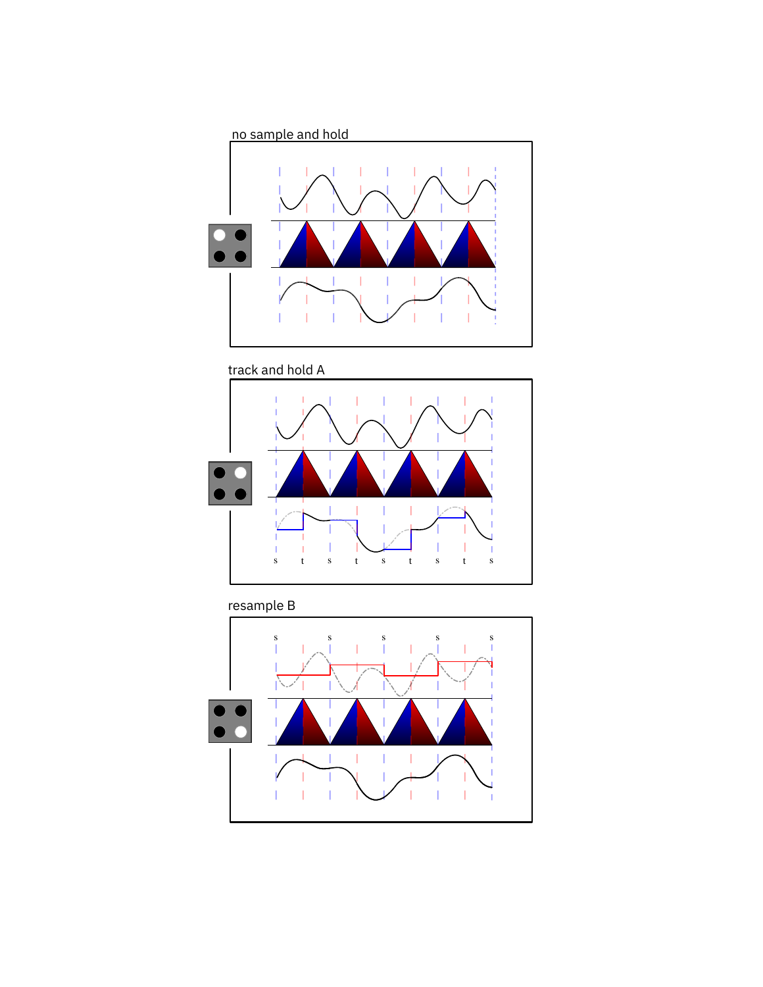





#### resample B

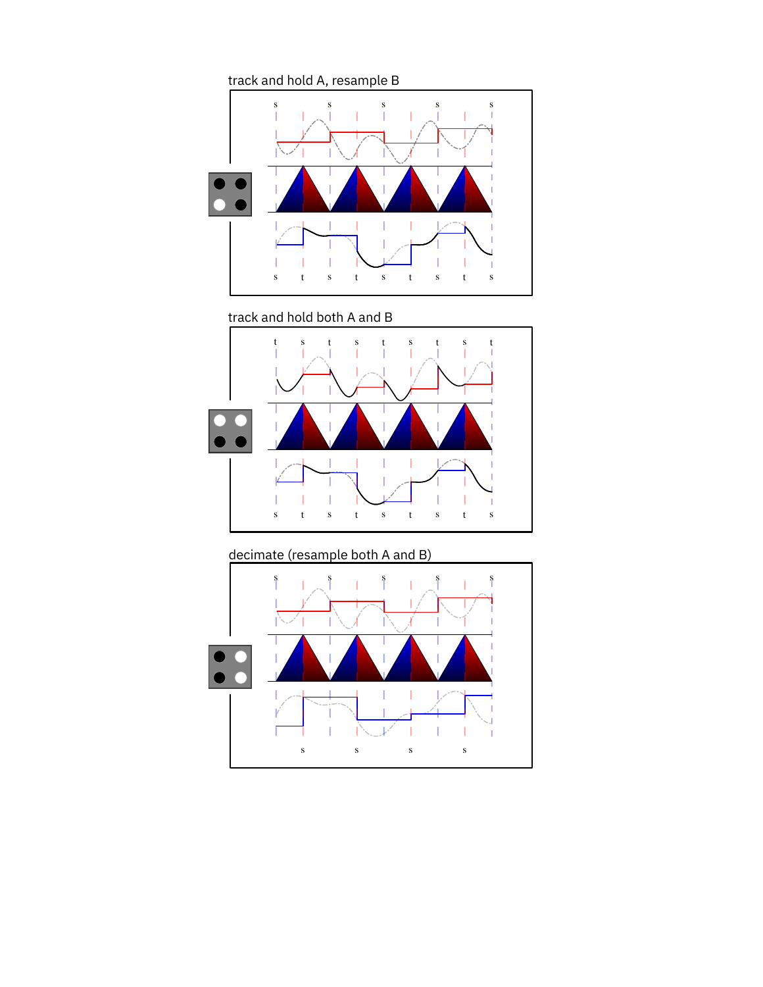

track and hold both A and B



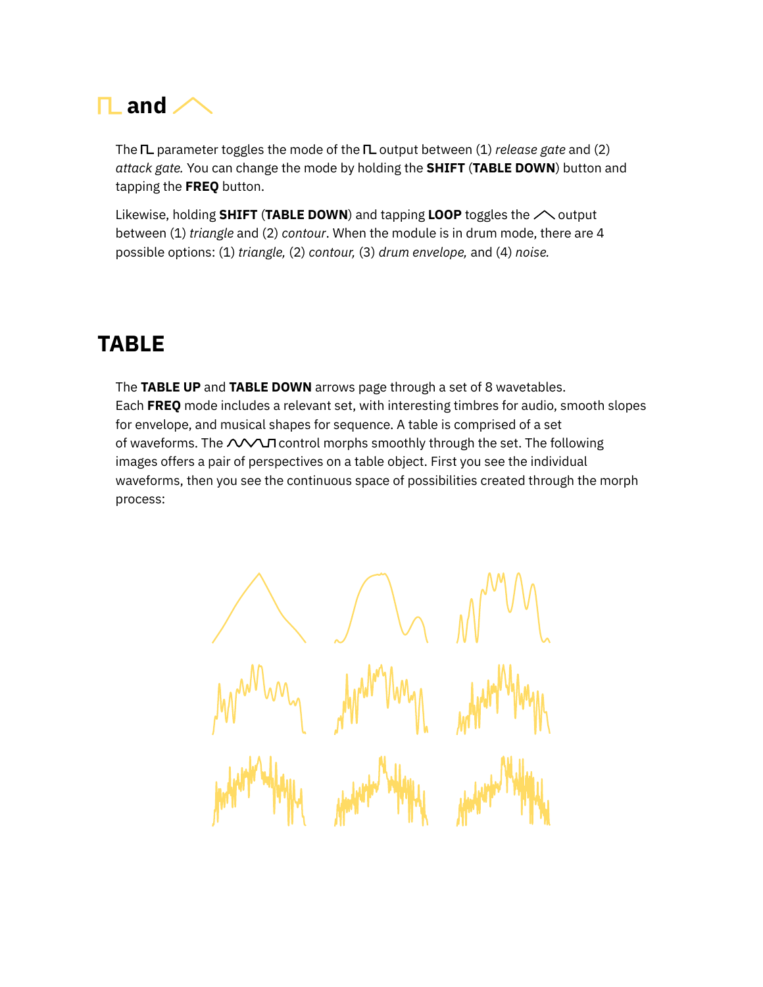<span id="page-11-1"></span>

The **IL** parameter toggles the mode of the **IL** [output](#page-3-0) between (1) *release gate* and (2) *attack gate.* You can change the mode by holding the **SHIFT** (**TABLE DOWN**) button and tapping the **FREQ** button.

Likewise, holding **SHIFT** (TABLE DOWN) and tapping LOOP toggles the  $\triangle$  [output](#page-3-0) between (1) *triangle* and (2) *contour*. When the module is in drum mode, there are 4 possible options: (1) *triangle,* (2) *contour,* (3) *drum envelope,* and (4) *noise.*

## <span id="page-11-0"></span>**TABLE**

The **TABLE UP** and **TABLE DOWN** arrows page through a set of 8 wavetables. Each **[FREQ](#page-5-1)** mode includes a relevant set, with interesting timbres for audio, smooth slopes for envelope, and musical shapes for sequence. A table is comprised of a set of wav[e](https://starling.space/via/meta/documentation#T1_T2)forms. The  $\triangle$  $\triangle$  $\triangle$ T control morphs smoothly through the set. The following images offers a pair of perspectives on a table object. First you see the individual waveforms, then you see the continuous space of possibilities created through the morph process: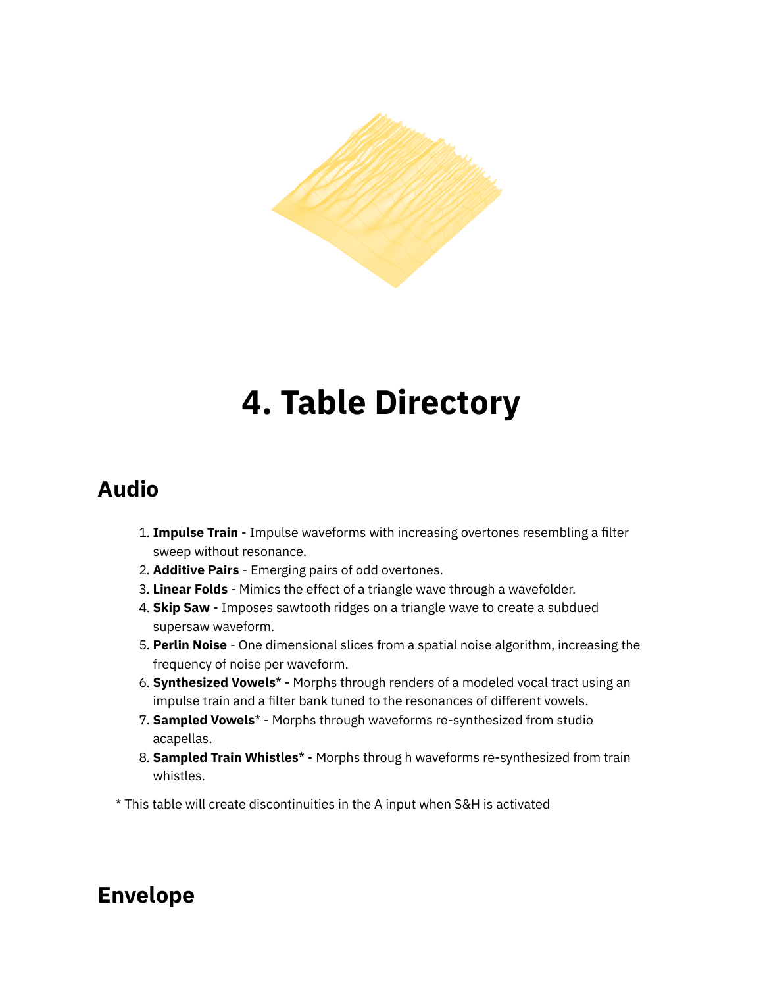

## **4. Table Directory**

## <span id="page-12-0"></span>**Audio**

- 1. **Impulse Train** Impulse waveforms with increasing overtones resembling a filter sweep without resonance.
- 2. **Additive Pairs** Emerging pairs of odd overtones.
- 3. **Linear Folds** Mimics the effect of a triangle wave through a wavefolder.
- 4. **Skip Saw** Imposes sawtooth ridges on a triangle wave to create a subdued supersaw waveform.
- 5. **Perlin Noise** One dimensional slices from a spatial noise algorithm, increasing the frequency of noise per waveform.
- 6. **Synthesized Vowels**\* Morphs through renders of a modeled vocal tract using an impulse train and a filter bank tuned to the resonances of different vowels.
- 7. **Sampled Vowels**\* Morphs through waveforms re-synthesized from studio acapellas.
- 8. **Sampled Train Whistles**\* Morphs throug h waveforms re-synthesized from train whistles.

\* This table will create discontinuities in the A input when S&H is activated

## **Envelope**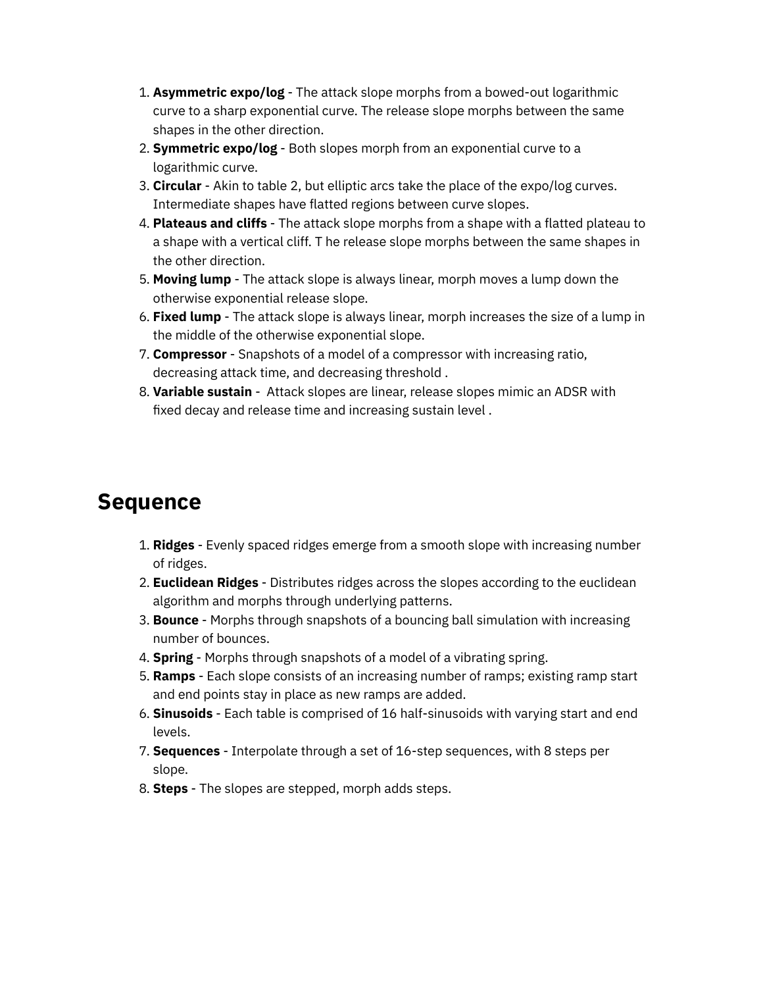- 1. **Asymmetric expo/log** The attack slope morphs from a bowed-out logarithmic curve to a sharp exponential curve. The release slope morphs between the same shapes in the other direction.
- 2. **Symmetric expo/log** Both slopes morph from an exponential curve to a logarithmic curve.
- 3. **Circular** Akin to table 2, but elliptic arcs take the place of the expo/log curves. Intermediate shapes have flatted regions between curve slopes.
- 4. **Plateaus and cliffs** The attack slope morphs from a shape with a flatted plateau to a shape with a vertical cliff. T he release slope morphs between the same shapes in the other direction.
- 5. **Moving lump** The attack slope is always linear, morph moves a lump down the otherwise exponential release slope.
- 6. **Fixed lump** The attack slope is always linear, morph increases the size of a lump in the middle of the otherwise exponential slope.
- 7. **Compressor** Snapshots of a model of a compressor with increasing ratio, decreasing attack time, and decreasing threshold .
- 8. **Variable sustain** Attack slopes are linear, release slopes mimic an ADSR with fixed decay and release time and increasing sustain level.

### **Sequence**

- 1. **Ridges** Evenly spaced ridges emerge from a smooth slope with increasing number of ridges.
- 2. **Euclidean Ridges** Distributes ridges across the slopes according to the euclidean algorithm and morphs through underlying patterns.
- 3. **Bounce** Morphs through snapshots of a bouncing ball simulation with increasing number of bounces.
- 4. **Spring** Morphs through snapshots of a model of a vibrating spring.
- 5. **Ramps** Each slope consists of an increasing number of ramps; existing ramp start and end points stay in place as new ramps are added.
- 6. **Sinusoids** Each table is comprised of 16 half-sinusoids with varying start and end levels.
- 7. **Sequences** Interpolate through a set of 16-step sequences, with 8 steps per slope.
- 8. **Steps** The slopes are stepped, morph adds steps.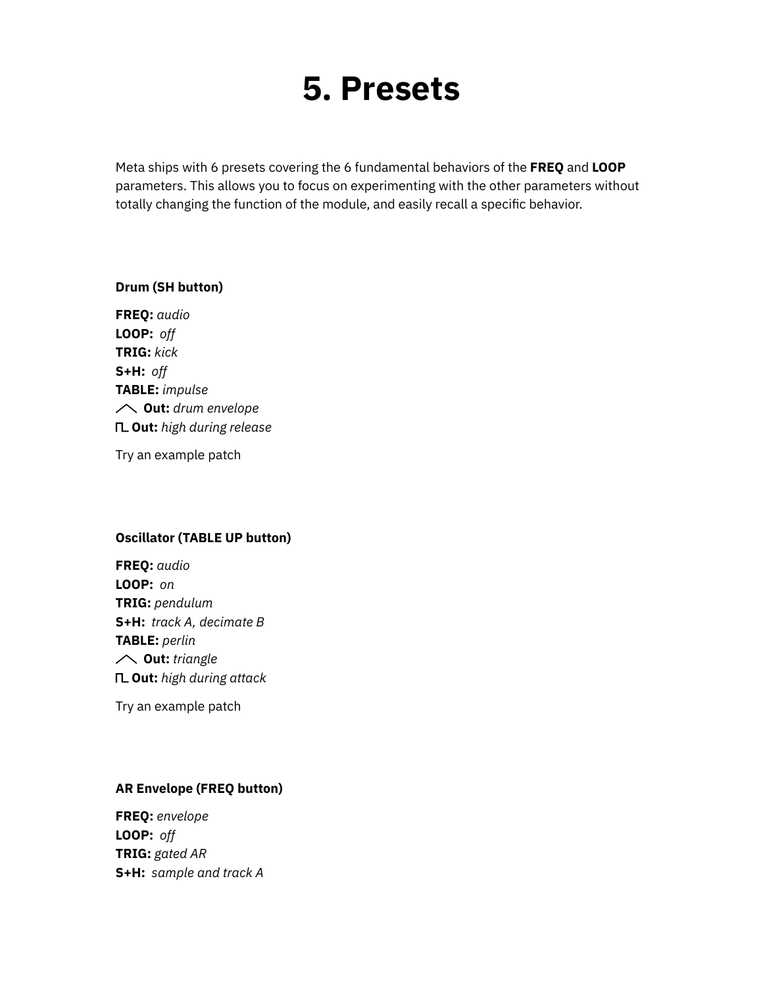## **5. Presets**

<span id="page-14-0"></span>Meta ships with 6 presets covering the 6 fundamental behaviors of the **[FREQ](#page-5-1)** [and](#page-5-1) **[LOOP](#page-5-1)** parameters. This allows you to focus on experimenting with the other parameters without totally changing the function of the module, and easily recall a specific behavior.

#### **Drum (SH button)**

**FREQ:** *audio* **LOOP:** *off* **TRIG:** *kick* **S+H:** *off* **TABLE:** *impulse* **Out:** *drum envelope* **Out:** *high during release*

Try an [example](https://starling.space/via/meta/patch-examples#preset-1) patch

#### **Oscillator (TABLE UP button)**

**FREQ:** *audio* **LOOP:** *on* **TRIG:** *pendulum* **S+H:** *track A, decimate B* **TABLE:** *perlin* **Out:** *triangle* **Out:** *high during attack*

Try an [example](https://starling.space/via/meta/patch-examples#preset-2) patch

#### **AR Envelope (FREQ button)**

**FREQ:** *envelope* **LOOP:** *off* **TRIG:** *gated AR* **S+H:** *sample and track A*